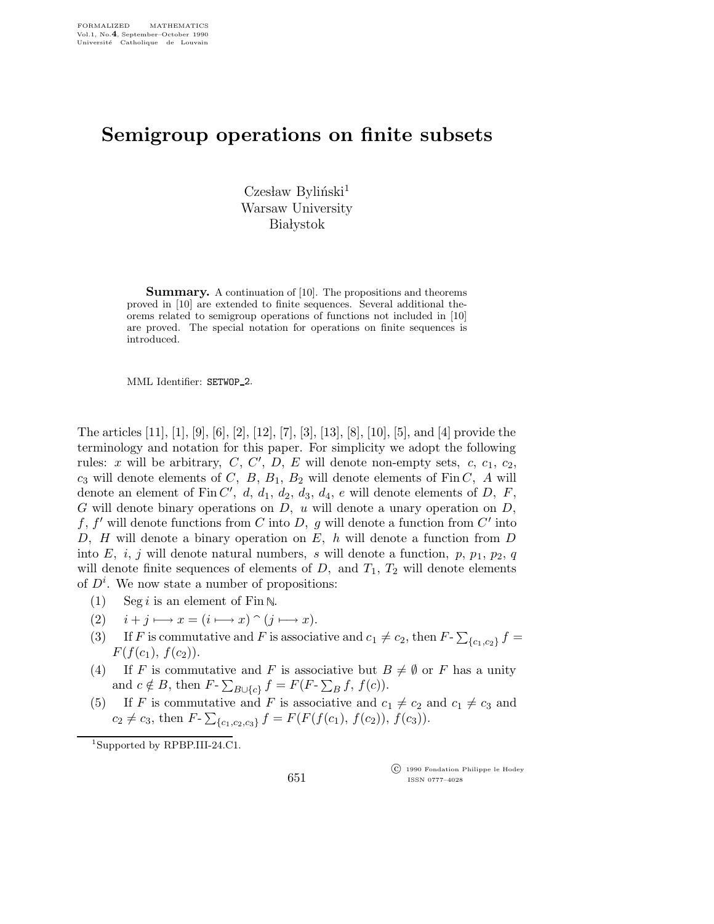## Semigroup operations on finite subsets

 $C$ zesław Byliński<sup>1</sup> Warsaw University **Białystok** 

Summary. A continuation of [10]. The propositions and theorems proved in [10] are extended to finite sequences. Several additional theorems related to semigroup operations of functions not included in [10] are proved. The special notation for operations on finite sequences is introduced.

MML Identifier: SETWOP 2.

The articles [11], [1], [9], [6], [2], [12], [7], [3], [13], [8], [10], [5], and [4] provide the terminology and notation for this paper. For simplicity we adopt the following rules: x will be arbitrary,  $C, C', D, E$  will denote non-empty sets,  $c, c_1, c_2$ ,  $c_3$  will denote elements of C, B,  $B_1$ ,  $B_2$  will denote elements of Fin C, A will denote an element of  $\text{Fin } C'$ , d, d<sub>1</sub>, d<sub>2</sub>, d<sub>3</sub>, d<sub>4</sub>, e will denote elements of D, F, G will denote binary operations on  $D$ , u will denote a unary operation on  $D$ , f, f' will denote functions from C into D, g will denote a function from  $C'$  into D,  $H$  will denote a binary operation on  $E$ ,  $h$  will denote a function from  $D$ into E, i, j will denote natural numbers, s will denote a function, p,  $p_1$ ,  $p_2$ , q will denote finite sequences of elements of  $D$ , and  $T_1$ ,  $T_2$  will denote elements of  $D^i$ . We now state a number of propositions:

- (1) Seg *i* is an element of Fin  $\mathbb{N}$ .
- (2)  $i + j \longmapsto x = (i \longmapsto x) \cap (j \longmapsto x).$
- (3) If F is commutative and F is associative and  $c_1 \neq c_2$ , then  $F$ - $\sum_{\{c_1, c_2\}} f$  =  $F(f(c_1), f(c_2)).$
- (4) If F is commutative and F is associative but  $B \neq \emptyset$  or F has a unity and  $c \notin B$ , then  $F$ - $\sum_{B \cup \{c\}} f = F(F - \sum_B f, f(c))$ .
- (5) If F is commutative and F is associative and  $c_1 \neq c_2$  and  $c_1 \neq c_3$  and  $c_2 \neq c_3$ , then  $F$ - $\sum_{\{c_1, c_2, c_3\}} f = F(F(f(c_1), f(c_2)), f(c_3)).$

<sup>1</sup>Supported by RPBP.III-24.C1.

 c 1990 Fondation Philippe le Hodey ISSN 0777–4028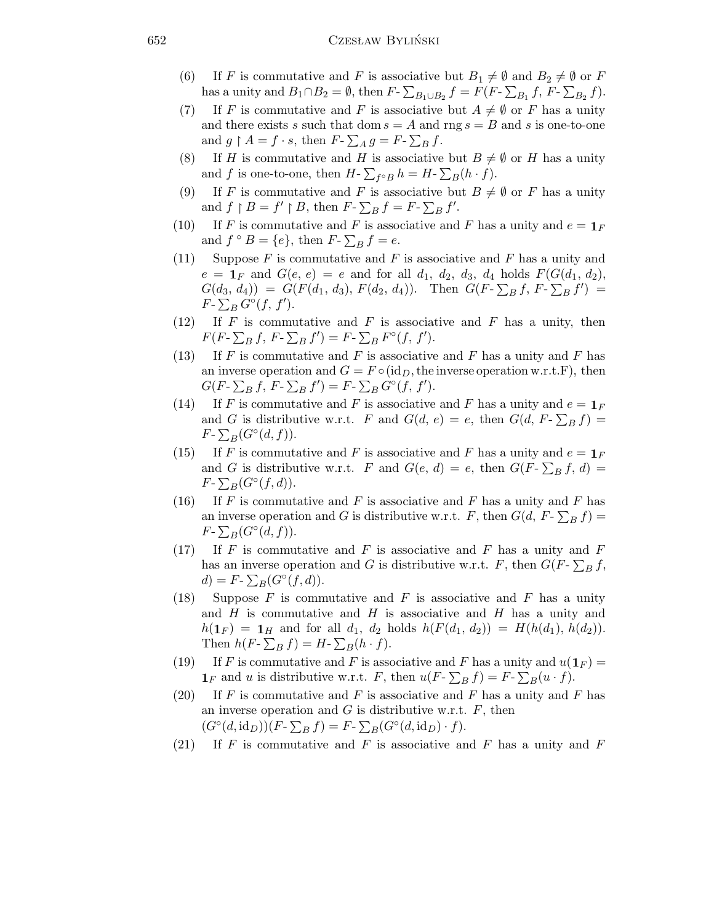## 652 Czesław Byliński

- (6) If F is commutative and F is associative but  $B_1 \neq \emptyset$  and  $B_2 \neq \emptyset$  or F has a unity and  $B_1 \cap B_2 = \emptyset$ , then  $F$ - $\sum_{B_1 \cup B_2} f = F(F - \sum_{B_1} f, F - \sum_{B_2} f)$ .
- (7) If F is commutative and F is associative but  $A \neq \emptyset$  or F has a unity and there exists s such that dom  $s = A$  and rng  $s = B$  and s is one-to-one and  $g \restriction A = f \cdot s$ , then  $F - \sum_A g = F - \sum_B f$ .
- (8) If H is commutative and H is associative but  $B \neq \emptyset$  or H has a unity and f is one-to-one, then  $H$ - $\sum_{f \circ B} h = H$ - $\sum_{B} (h \cdot f)$ .
- (9) If F is commutative and F is associative but  $B \neq \emptyset$  or F has a unity and  $f \upharpoonright B = f' \upharpoonright B$ , then  $F - \sum_B f = F - \sum_B f'$ .
- (10) If F is commutative and F is associative and F has a unity and  $e = \mathbf{1}_F$ and  $f \circ B = \{e\}$ , then  $F \circ \sum_B f = e$ .
- (11) Suppose F is commutative and F is associative and F has a unity and  $e = \mathbf{1}_F$  and  $G(e, e) = e$  and for all  $d_1, d_2, d_3, d_4$  holds  $F(G(d_1, d_2))$ ,  $G(d_3, d_4)$  =  $G(F(d_1, d_3), F(d_2, d_4))$ . Then  $G(F - \sum_B f, F - \sum_B f')$  =  $F$ - $\sum_B G^\circ(f, f').$
- (12) If  $F$  is commutative and  $F$  is associative and  $F$  has a unity, then  $F(F - \sum_B f, F - \sum_B f') = F - \sum_B F^{\circ}(f, f').$
- (13) If F is commutative and F is associative and F has a unity and F has an inverse operation and  $G = F \circ (id_D, the inverse operation w.r.t. F)$ , then  $G(F - \sum_B f, F - \sum_B f') = F - \sum_B G^{\circ}(f, f').$
- (14) If F is commutative and F is associative and F has a unity and  $e = \mathbf{1}_F$ and G is distributive w.r.t. F and  $G(d, e) = e$ , then  $G(d, F - \sum_B f) =$  $F$ - $\sum_B(G^{\circ}(d, f)).$
- (15) If F is commutative and F is associative and F has a unity and  $e = \mathbf{1}_F$ and G is distributive w.r.t. F and  $G(e, d) = e$ , then  $G(F - \sum_B f, d) =$  $F$ - $\sum_B(G^{\circ}(f,d)).$
- (16) If F is commutative and F is associative and F has a unity and F has an inverse operation and G is distributive w.r.t. F, then  $G(d, F - \sum_B f) =$  $F$ - $\sum_B(G^{\circ}(d, f)).$
- (17) If F is commutative and F is associative and F has a unity and F has an inverse operation and G is distributive w.r.t. F, then  $G(F - \sum_B f,$  $d) = F - \sum_B (G^{\circ}(f, d)).$
- (18) Suppose  $F$  is commutative and  $F$  is associative and  $F$  has a unity and  $H$  is commutative and  $H$  is associative and  $H$  has a unity and  $h(1_F) = 1_H$  and for all  $d_1$ ,  $d_2$  holds  $h(F(d_1, d_2)) = H(h(d_1), h(d_2)).$ Then  $h(F - \sum_B f) = H - \sum_B (h \cdot f)$ .
- (19) If F is commutative and F is associative and F has a unity and  $u(1<sub>F</sub>) =$  $\mathbf{1}_F$  and u is distributive w.r.t. F, then  $u(F - \sum_B f) = F - \sum_B (u \cdot f)$ .
- (20) If F is commutative and F is associative and F has a unity and F has an inverse operation and  $G$  is distributive w.r.t.  $F$ , then  $(G<sup>\circ</sup>(d, id<sub>D</sub>))(F - \sum_B f) = F - \sum_B (G<sup>\circ</sup>(d, id<sub>D</sub>) \cdot f).$
- (21) If F is commutative and F is associative and F has a unity and F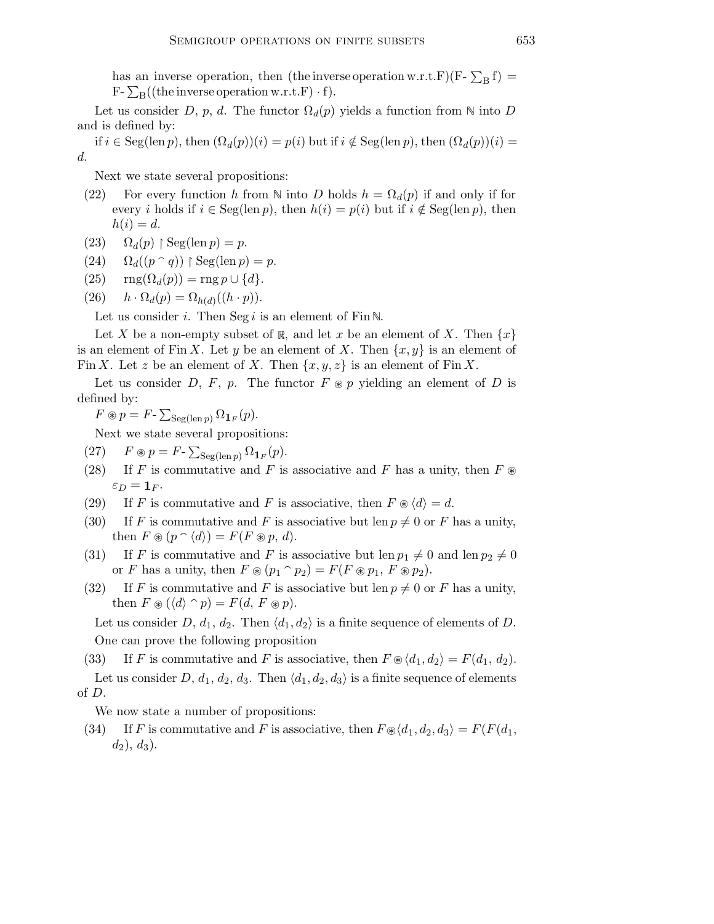has an inverse operation, then (the inverse operation w.r.t.F)(F-  $\sum_{\text{B}} f$ ) =  $F\text{-}\sum_{B}((\text{the inverse operation w.r.t.}F)\cdot f).$ 

Let us consider D, p, d. The functor  $\Omega_d(p)$  yields a function from  $\mathbb N$  into D and is defined by:

if  $i \in \text{Seg}(\text{len } p)$ , then  $(\Omega_d(p))(i) = p(i)$  but if  $i \notin \text{Seg}(\text{len } p)$ , then  $(\Omega_d(p))(i) =$ d.

Next we state several propositions:

- (22) For every function h from  $\mathbb N$  into D holds  $h = \Omega_d(p)$  if and only if for every i holds if  $i \in \text{Seg}(\text{len } p)$ , then  $h(i) = p(i)$  but if  $i \notin \text{Seg}(\text{len } p)$ , then  $h(i) = d.$
- (23)  $\Omega_d(p) \restriction \text{Seg}(\text{len } p) = p.$
- $(24)$   $\Omega_d((p \cap q))$  | Seg(len p) = p.
- (25)  $\text{rng}(\Omega_d(p)) = \text{rng } p \cup \{d\}.$

(26) 
$$
h \cdot \Omega_d(p) = \Omega_{h(d)}((h \cdot p)).
$$

Let us consider *i*. Then Seg *i* is an element of Fin N.

Let X be a non-empty subset of R, and let x be an element of X. Then  $\{x\}$ is an element of Fin X. Let y be an element of X. Then  $\{x, y\}$  is an element of Fin X. Let z be an element of X. Then  $\{x, y, z\}$  is an element of Fin X.

Let us consider D, F, p. The functor  $F \otimes p$  yielding an element of D is defined by:

 $F \circledast p = F$ -  $\sum_{\text{Seg}(\text{len }p)} \Omega_{\textbf{1}_F}(p)$ .

Next we state several propositions:

- (27)  $F \circledast p = F \sum_{\text{Seg}(\text{len }p)} \Omega_{\mathbf{1}_F}(p).$
- (28) If F is commutative and F is associative and F has a unity, then  $F \otimes$  $\varepsilon_D = \mathbf{1}_F.$
- (29) If F is commutative and F is associative, then  $F \otimes \langle d \rangle = d$ .
- (30) If F is commutative and F is associative but len  $p \neq 0$  or F has a unity, then  $F \circledast (p \circ \langle d \rangle) = F(F \circledast p, d).$
- (31) If F is commutative and F is associative but len  $p_1 \neq 0$  and len  $p_2 \neq 0$ or F has a unity, then  $F \otimes (p_1 \cap p_2) = F(F \otimes p_1, F \otimes p_2).$
- (32) If F is commutative and F is associative but len  $p \neq 0$  or F has a unity, then  $F \circledast (\langle d \rangle \cap p) = F(d, F \circledast p).$

Let us consider D,  $d_1, d_2$ . Then  $\langle d_1, d_2 \rangle$  is a finite sequence of elements of D. One can prove the following proposition

- (33) If F is commutative and F is associative, then  $F \otimes \langle d_1, d_2 \rangle = F(d_1, d_2)$ . Let us consider D,  $d_1, d_2, d_3$ . Then  $\langle d_1, d_2, d_3 \rangle$  is a finite sequence of elements
- of D.

We now state a number of propositions:

(34) If F is commutative and F is associative, then  $F \otimes \langle d_1, d_2, d_3 \rangle = F(F(d_1, d_2))$  $d_2$ ,  $d_3$ ).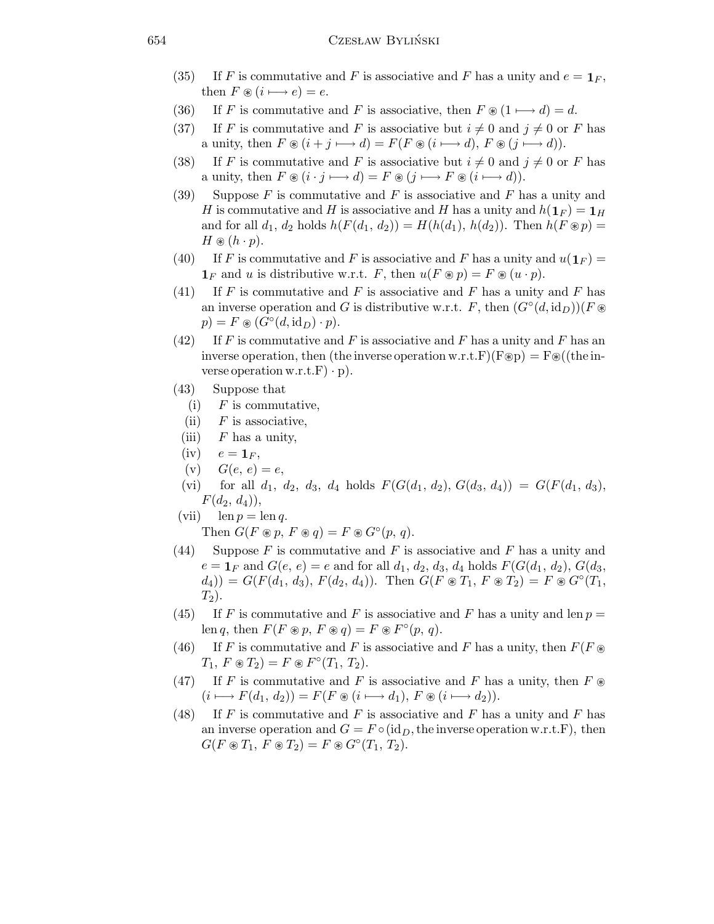- (35) If F is commutative and F is associative and F has a unity and  $e = \mathbf{1}_F$ , then  $F \circledast (i \longmapsto e) = e$ .
- (36) If F is commutative and F is associative, then  $F \otimes (1 \mapsto d) = d$ .
- (37) If F is commutative and F is associative but  $i \neq 0$  and  $j \neq 0$  or F has a unity, then  $F \circledast (i + j \rightarrow d) = F(F \circledast (i \rightarrow d), F \circledast (j \rightarrow d)).$
- (38) If F is commutative and F is associative but  $i \neq 0$  and  $j \neq 0$  or F has a unity, then  $F \circledast (i \cdot j \longmapsto d) = F \circledast (j \longmapsto F \circledast (i \longmapsto d)).$
- (39) Suppose F is commutative and F is associative and F has a unity and H is commutative and H is associative and H has a unity and  $h(1_F) = 1_H$ and for all  $d_1, d_2$  holds  $h(F(d_1, d_2)) = H(h(d_1), h(d_2))$ . Then  $h(F \otimes p) =$  $H \circledast (h \cdot p).$
- (40) If F is commutative and F is associative and F has a unity and  $u(\mathbf{1}_F)$  =  $\mathbf{1}_F$  and u is distributive w.r.t. F, then  $u(F \otimes p) = F \otimes (u \cdot p)$ .
- (41) If F is commutative and F is associative and F has a unity and F has an inverse operation and G is distributive w.r.t. F, then  $(G^{\circ}(d, id_D))(F \otimes$  $p) = F \circledast (G^{\circ}(d, \text{id}_D) \cdot p).$
- (42) If F is commutative and F is associative and F has a unity and F has an inverse operation, then (the inverse operation w.r.t.F)(F\\pep) = F\\phi ((the inverse operation w.r.t. $F) \cdot p$ .
- (43) Suppose that
	- $(i)$  F is commutative,
	- $(ii)$  F is associative,
- (iii)  $F$  has a unity,
- $(iv)$   $e = \mathbf{1}_F,$
- (v)  $G(e, e) = e$ ,
- (vi) for all  $d_1, d_2, d_3, d_4$  holds  $F(G(d_1, d_2), G(d_3, d_4)) = G(F(d_1, d_3),$  $F(d_2, d_4)$ ,
- (vii)  $\text{len } p = \text{len } q.$ Then  $G(F \circledast p, F \circledast q) = F \circledast G^{\circ}(p, q)$ .
- (44) Suppose F is commutative and F is associative and F has a unity and  $e = \mathbf{1}_F$  and  $G(e, e) = e$  and for all  $d_1, d_2, d_3, d_4$  holds  $F(G(d_1, d_2), G(d_3,$  $(d_4)$ ) =  $G(F(d_1, d_3), F(d_2, d_4))$ . Then  $G(F \otimes T_1, F \otimes T_2) = F \otimes G^{\circ}(T_1,$  $T_2$ ).
- (45) If F is commutative and F is associative and F has a unity and len  $p =$ len q, then  $F(F \otimes p, F \otimes q) = F \otimes F^{\circ}(p, q)$ .
- (46) If F is commutative and F is associative and F has a unity, then  $F(F \otimes$  $T_1, F \circledast T_2 = F \circledast F^{\circ}(T_1, T_2).$
- (47) If F is commutative and F is associative and F has a unity, then  $F \otimes$  $(i \rightarrowtail F(d_1, d_2)) = F(F \circledast (i \rightarrowtail d_1), F \circledast (i \rightarrowtail d_2)).$
- (48) If F is commutative and F is associative and F has a unity and F has an inverse operation and  $G = F \circ (id_D, th$  inverse operation w.r.t.F), then  $G(F \circledast T_1, F \circledast T_2) = F \circledast G^{\circ}(T_1, T_2).$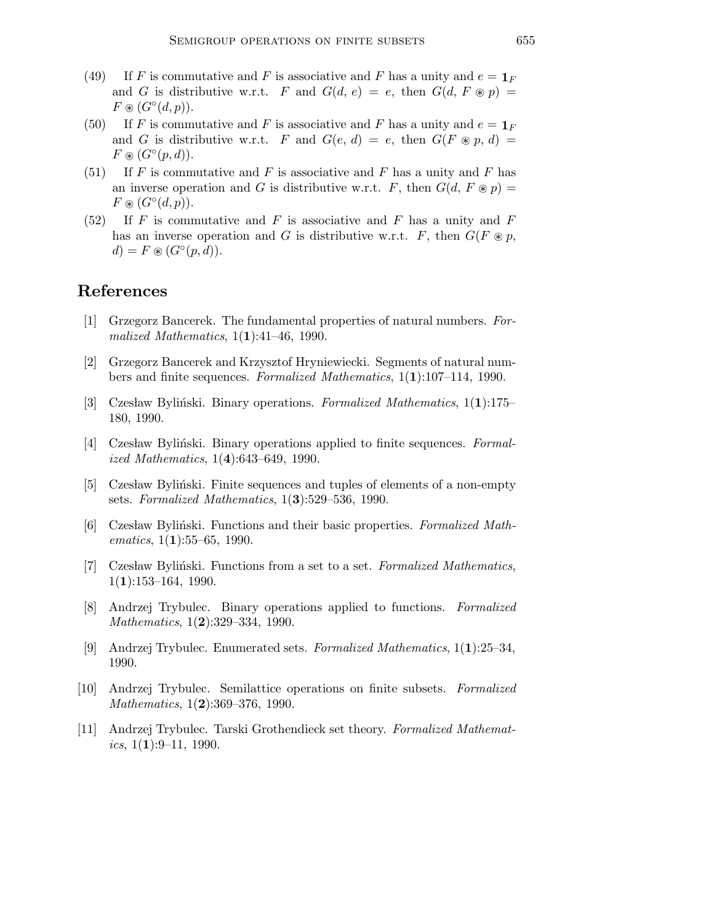- (49) If F is commutative and F is associative and F has a unity and  $e = \mathbf{1}_F$ and G is distributive w.r.t. F and  $G(d, e) = e$ , then  $G(d, F \otimes p) =$  $F \circledast (G^{\circ}(d,p)).$
- (50) If F is commutative and F is associative and F has a unity and  $e = \mathbf{1}_F$ and G is distributive w.r.t. F and  $G(e, d) = e$ , then  $G(F \otimes p, d) =$  $F \circledast (G^{\circ}(p, d)).$
- (51) If F is commutative and F is associative and F has a unity and F has an inverse operation and G is distributive w.r.t. F, then  $G(d, F \otimes p) =$  $F \circledast (G^{\circ}(d,p)).$
- $(52)$  If F is commutative and F is associative and F has a unity and F has an inverse operation and G is distributive w.r.t. F, then  $G(F \otimes p,$  $d) = F \circledast (G^{\circ}(p, d)).$

## References

- [1] Grzegorz Bancerek. The fundamental properties of natural numbers. Formalized Mathematics,  $1(1):41-46$ , 1990.
- [2] Grzegorz Bancerek and Krzysztof Hryniewiecki. Segments of natural numbers and finite sequences. Formalized Mathematics, 1(1):107–114, 1990.
- [3] Czesław Byliński. Binary operations. Formalized Mathematics,  $1(1):175-$ 180, 1990.
- [4] Czesław Byliński. Binary operations applied to finite sequences. Formalized Mathematics, 1(4):643–649, 1990.
- [5] Czesław Byliński. Finite sequences and tuples of elements of a non-empty sets. Formalized Mathematics, 1(3):529–536, 1990.
- [6] Czesław Byliński. Functions and their basic properties. Formalized Mathematics,  $1(1):55-65$ , 1990.
- [7] Czesław Byliński. Functions from a set to a set. Formalized Mathematics,  $1(1):153-164$ , 1990.
- [8] Andrzej Trybulec. Binary operations applied to functions. Formalized Mathematics, 1(2):329-334, 1990.
- [9] Andrzej Trybulec. Enumerated sets. Formalized Mathematics, 1(1):25–34, 1990.
- [10] Andrzej Trybulec. Semilattice operations on finite subsets. Formalized Mathematics, 1(2):369-376, 1990.
- [11] Andrzej Trybulec. Tarski Grothendieck set theory. Formalized Mathemat*ics*,  $1(1):9-11$ , 1990.